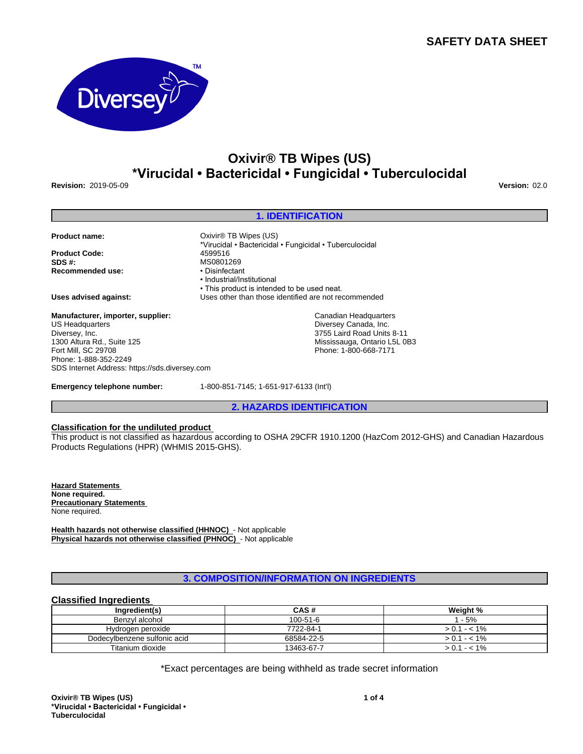## **SAFETY DATA SHEET**



# **Oxivir® TB Wipes (US) \*Virucidal•Bactericidal•Fungicidal•Tuberculocidal**

**1. IDENTIFICATION**

\*Virucidal•Bactericidal•Fungicidal•Tuberculocidal

**Revision:** 2019-05-09 **Version:** 02.0

|  |  | <b>Product name:</b> |
|--|--|----------------------|

**Product Code:** 4599516<br> **SDS #:** MS08012 **Recommended use:** 

**Uses advised against:** Uses other than those identified are not recommended

**Manufacturer, importer, supplier:** US Headquarters Diversey, Inc. 1300 Altura Rd., Suite 125 Fort Mill, SC 29708 Phone: 1-888-352-2249 SDS Internet Address: https://sds.diversey.com

**Emergency telephone number:** 1-800-851-7145; 1-651-917-6133 (Int'l)

• This product is intended to be used neat.

*Oxivir® TB Wipes (US)* 

•Industrial/Institutional

MS0801269<br>• Disinfectant

**2. HAZARDS IDENTIFICATION**

Canadian Headquarters Diversey Canada, Inc. 3755 Laird Road Units 8-11 Mississauga, Ontario L5L 0B3 Phone: 1-800-668-7171

## **Classification for the undiluted product**

This product is not classified as hazardous according to OSHA 29CFR 1910.1200 (HazCom 2012-GHS) and Canadian Hazardous Products Regulations (HPR) (WHMIS 2015-GHS).

**Hazard Statements None required. Precautionary Statements**  None required.

**Health hazards not otherwise classified (HHNOC)** - Not applicable **Physical hazards not otherwise classified (PHNOC)** - Not applicable

## **3. COMPOSITION/INFORMATION ON INGREDIENTS**

## **Classified Ingredients**

| Inaredient(s)                | CAS#       | Weight %      |  |
|------------------------------|------------|---------------|--|
| Benzvl alcohol               | 100-51-6   | 1 - 5%        |  |
| Hydrogen peroxide            | 7722-84-1  | $> 0.1 - 1\%$ |  |
| Dodecylbenzene sulfonic acid | 68584-22-5 | $> 0.1 - 1\%$ |  |
| Titanium dioxide             | 13463-67-7 | $> 0.1 - 1\%$ |  |

\*Exact percentages are being withheld as trade secret information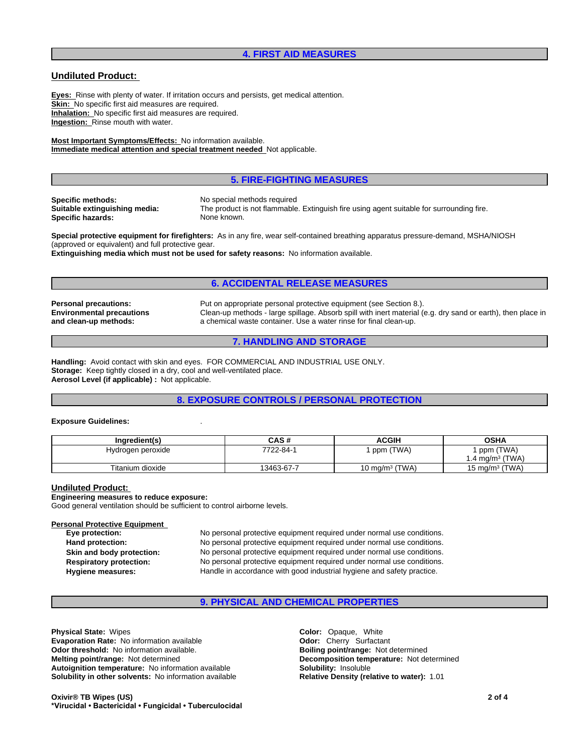## **4. FIRST AID MEASURES**

## **Undiluted Product:**

**Eyes:** Rinse with plenty of water. If irritation occurs and persists, get medical attention. **Skin:** No specific first aid measures are required. **Inhalation:** No specific first aid measures are required. **Ingestion:** Rinse mouth with water.

**Most Important Symptoms/Effects:** No information available. **Immediate medical attention and special treatment needed** Not applicable.

#### **5. FIRE-FIGHTING MEASURES**

**Specific methods:** No special methods required<br> **Suitable extinguishing media:** The product is not flammable **Specific hazards:** None known.

The product is not flammable. Extinguish fire using agent suitable for surrounding fire.

**Special protective equipment for firefighters:** As in any fire, wear self-contained breathing apparatus pressure-demand, MSHA/NIOSH (approved or equivalent) and full protective gear.

**Extinguishing media which must not be used for safety reasons:** No information available.

## **6. ACCIDENTAL RELEASE MEASURES**

**Environmental precautions and clean-up methods:**

**Personal precautions:** Put on appropriate personal protective equipment (see Section 8.). Clean-up methods - large spillage. Absorb spill with inert material (e.g. dry sand or earth), then place in a chemical waste container. Use a water rinse for final clean-up.

## **7. HANDLING AND STORAGE**

**Handling:** Avoid contact with skin and eyes. FOR COMMERCIAL AND INDUSTRIAL USE ONLY. **Storage:** Keep tightly closed in a dry, cool and well-ventilated place. **Aerosol Level (if applicable) :** Not applicable.

## **8. EXPOSURE CONTROLS / PERSONAL PROTECTION**

#### **Exposure Guidelines:** .

| Ingredient(s)     | CAS#       | <b>ACGIH</b>        | <b>OSHA</b>                  |
|-------------------|------------|---------------------|------------------------------|
| Hydrogen peroxide | 7722-84-1  | (TWA)<br>ppm (      | (TWA)<br>ppm                 |
|                   |            |                     | (TWA)<br>$.4 \text{ ma/m}^3$ |
| Titanium dioxide  | 13463-67-7 | (TWA)<br>∣0 mg/mª ( | 15 mg/m $3$ (TWA)            |

#### **Undiluted Product:**

#### **Engineering measures to reduce exposure:**

Good general ventilation should be sufficient to control airborne levels.

# **Personal Protective Equipment**<br> **Eye protection:**

No personal protective equipment required under normal use conditions. **Hand protection:** No personal protective equipment required under normal use conditions. **Skin and body protection:** No personal protective equipment required under normal use conditions. **Respiratory protection:** No personal protective equipment required under normal use conditions. **Hygiene measures:** Handle in accordance with good industrial hygiene and safety practice.

## **9. PHYSICAL AND CHEMICAL PROPERTIES**

**Physical State:** Wipes **Color:** Opaque, White **Evaporation Rate:** No information available **Odor:** Cherry Surfactant **Odor threshold:** No information available. **Boiling point/range: Not determined Melting point/range:** Not determined **Melting point/range:** Not determined **Autoignition temperature:** No information available **Solubility:** Insoluble **Solubility in other solvents:** No information available **Relative Density (relative to water):** 1.01

**Oxivir® TB Wipes(US) \*Virucidal•Bactericidal•Fungicidal•Tuberculocidal** **Decomposition temperature:** Not determined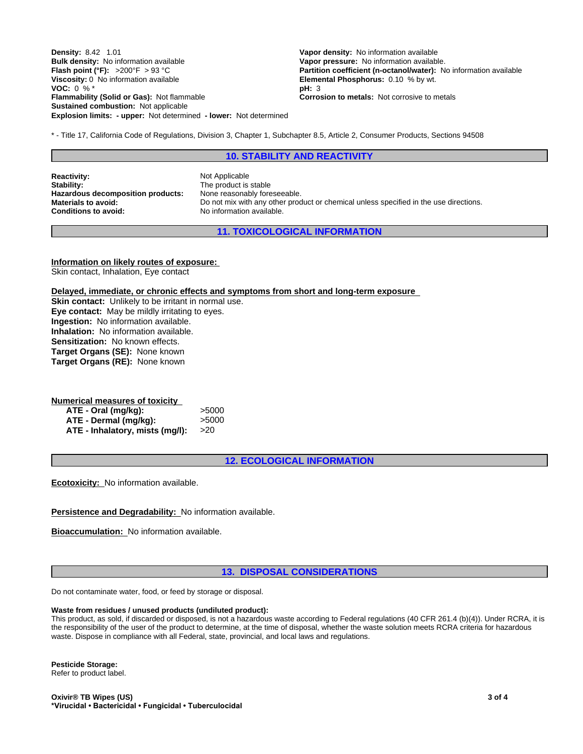**Explosion limits: - upper:** Not determined **- lower:** Not determined **Density:** 8.42 1.01 **Vapor density:** No information available **Bulk density:** No information available **Vapor pressure:** No information available.<br> **Flash point (°F):** >200°F > 93 °C **Partition coefficient (n-octanol/water):** N **Viscosity:** 0 No information available **Elemental Phosphorus:** 0.10 % by wt. **VOC:** 0 % \* **pH:** 3 **Flammability (Solid or Gas):** Not flammable **Corrosion to metals:** Not corrosive to metals **Sustained combustion:** Not applicable

**Partition coefficient (n-octanol/water):** No information available

\* - Title 17, California Code of Regulations, Division 3, Chapter 1, Subchapter 8.5, Article 2, Consumer Products, Sections 94508

#### **10. STABILITY AND REACTIVITY**

**Reactivity:** Not Applicable Stability: Not Applicable Stability: **Hazardous decomposition products:** None reasonably foreseeable.<br>**Materials to avoid:** Do not mix with any other proc **Conditions to avoid:** No information available.

The product is stable Do not mix with any other product or chemical unless specified in the use directions.

**11. TOXICOLOGICAL INFORMATION**

**Information on likely routes of exposure:** Skin contact, Inhalation, Eye contact

**Delayed, immediate, or chronic effects and symptoms from short and long-term exposure**

**Skin contact:** Unlikely to be irritant in normal use. **Eye contact:** May be mildly irritating to eyes. **Ingestion:** No information available. **Inhalation:** No information available. **Sensitization:** No known effects. **Target Organs (SE):** None known **Target Organs (RE):** None known

| Numerical measures of toxicity  |       |
|---------------------------------|-------|
| ATE - Oral (mg/kg):             | >5000 |
| ATE - Dermal (mg/kg):           | >5000 |
| ATE - Inhalatory, mists (mg/l): | >20   |

**12. ECOLOGICAL INFORMATION**

**Ecotoxicity:** No information available.

**Persistence and Degradability:** No information available.

**Bioaccumulation:** No information available.

#### **13. DISPOSAL CONSIDERATIONS**

Do not contaminate water, food, or feed by storage or disposal.

#### **Waste from residues / unused products (undiluted product):**

This product, as sold, if discarded or disposed, is not a hazardous waste according to Federal regulations (40 CFR 261.4 (b)(4)). Under RCRA, it is the responsibility of the user of the product to determine, at the time of disposal, whether the waste solution meets RCRA criteria for hazardous waste. Dispose in compliance with all Federal, state, provincial, and local laws and regulations.

**Pesticide Storage:** Refer to product label.